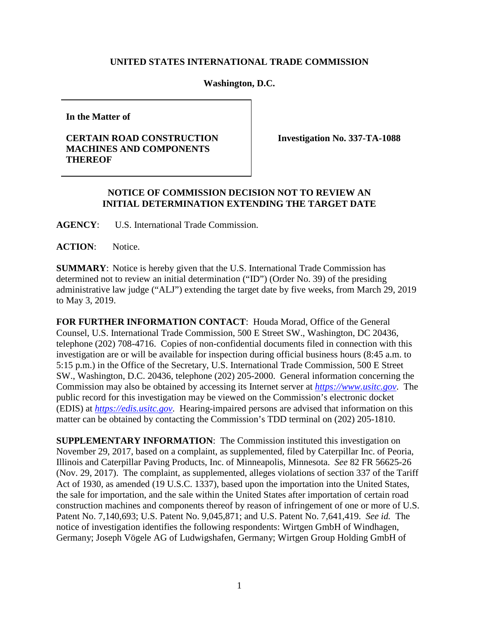## **UNITED STATES INTERNATIONAL TRADE COMMISSION**

## **Washington, D.C.**

**In the Matter of**

## **CERTAIN ROAD CONSTRUCTION MACHINES AND COMPONENTS THEREOF**

**Investigation No. 337-TA-1088**

## **NOTICE OF COMMISSION DECISION NOT TO REVIEW AN INITIAL DETERMINATION EXTENDING THE TARGET DATE**

**AGENCY**: U.S. International Trade Commission.

**ACTION**: Notice.

**SUMMARY**: Notice is hereby given that the U.S. International Trade Commission has determined not to review an initial determination ("ID") (Order No. 39) of the presiding administrative law judge ("ALJ") extending the target date by five weeks, from March 29, 2019 to May 3, 2019.

**FOR FURTHER INFORMATION CONTACT**: Houda Morad, Office of the General Counsel, U.S. International Trade Commission, 500 E Street SW., Washington, DC 20436, telephone (202) 708-4716. Copies of non-confidential documents filed in connection with this investigation are or will be available for inspection during official business hours (8:45 a.m. to 5:15 p.m.) in the Office of the Secretary, U.S. International Trade Commission, 500 E Street SW., Washington, D.C. 20436, telephone (202) 205-2000. General information concerning the Commission may also be obtained by accessing its Internet server at *[https://www.usitc.gov](https://www.usitc.gov/)*. The public record for this investigation may be viewed on the Commission's electronic docket (EDIS) at *[https://edis.usitc.gov](http://edis.usitc.gov/)*. Hearing-impaired persons are advised that information on this matter can be obtained by contacting the Commission's TDD terminal on (202) 205-1810.

**SUPPLEMENTARY INFORMATION**: The Commission instituted this investigation on November 29, 2017, based on a complaint, as supplemented, filed by Caterpillar Inc. of Peoria, Illinois and Caterpillar Paving Products, Inc. of Minneapolis, Minnesota. *See* 82 FR 56625-26 (Nov. 29, 2017). The complaint, as supplemented, alleges violations of section 337 of the Tariff Act of 1930, as amended (19 U.S.C. 1337), based upon the importation into the United States, the sale for importation, and the sale within the United States after importation of certain road construction machines and components thereof by reason of infringement of one or more of U.S. Patent No. 7,140,693; U.S. Patent No. 9,045,871; and U.S. Patent No. 7,641,419. *See id.* The notice of investigation identifies the following respondents: Wirtgen GmbH of Windhagen, Germany; Joseph Vögele AG of Ludwigshafen, Germany; Wirtgen Group Holding GmbH of